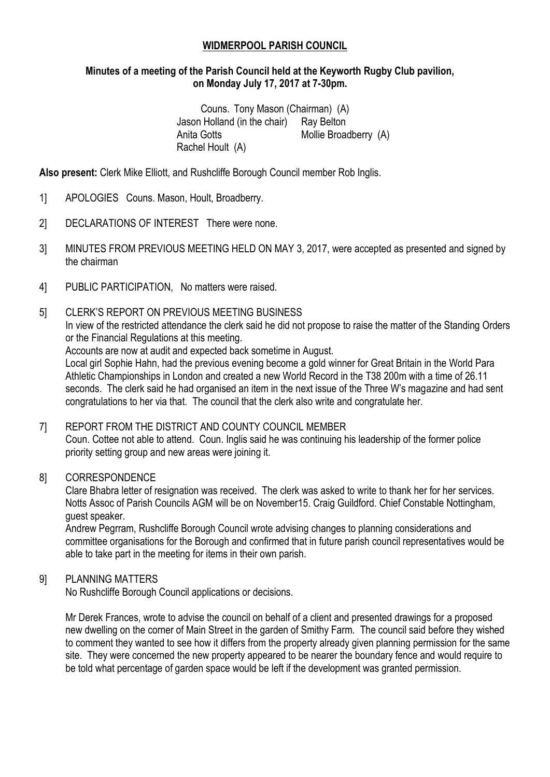### **WIDMERPOOL PARISH COUNCIL**

### **Minutes of a meeting of the Parish Council held at the Keyworth Rugby Club pavilion, on Monday July 17, 2017 at 7-30pm.**

Couns. Tony Mason (Chairman) (A) Jason Holland (in the chair) Ray Belton Anita Gotts Mollie Broadberry (A) Rachel Hoult (A)

**Also present:** Clerk Mike Elliott, and Rushcliffe Borough Council member Rob Inglis.

- 1] APOLOGIES Couns. Mason, Hoult, Broadberry.
- 2] DECLARATIONS OF INTEREST There were none.
- 3] MINUTES FROM PREVIOUS MEETING HELD ON MAY 3, 2017, were accepted as presented and signed by the chairman
- 4] PUBLIC PARTICIPATION, No matters were raised.

### 5] CLERK'S REPORT ON PREVIOUS MEETING BUSINESS

In view of the restricted attendance the clerk said he did not propose to raise the matter of the Standing Orders or the Financial Regulations at this meeting.

Accounts are now at audit and expected back sometime in August.

Local girl Sophie Hahn, had the previous evening become a gold winner for Great Britain in the World Para Athletic Championships in London and created a new World Record in the T38 200m with a time of 26.11 seconds. The clerk said he had organised an item in the next issue of the Three W's magazine and had sent congratulations to her via that. The council that the clerk also write and congratulate her.

# 7] REPORT FROM THE DISTRICT AND COUNTY COUNCIL MEMBER Coun. Cottee not able to attend. Coun. Inglis said he was continuing his leadership of the former police priority setting group and new areas were joining it.

### 8] CORRESPONDENCE

Clare Bhabra letter of resignation was received. The clerk was asked to write to thank her for her services. Notts Assoc of Parish Councils AGM will be on November15. Craig Guildford. Chief Constable Nottingham, guest speaker.

Andrew Pegrram, Rushcliffe Borough Council wrote advising changes to planning considerations and committee organisations for the Borough and confirmed that in future parish council representatives would be able to take part in the meeting for items in their own parish.

### 9] PLANNING MATTERS

No Rushcliffe Borough Council applications or decisions.

Mr Derek Frances, wrote to advise the council on behalf of a client and presented drawings for a proposed new dwelling on the corner of Main Street in the garden of Smithy Farm. The council said before they wished to comment they wanted to see how it differs from the property already given planning permission for the same site. They were concerned the new property appeared to be nearer the boundary fence and would require to be told what percentage of garden space would be left if the development was granted permission.